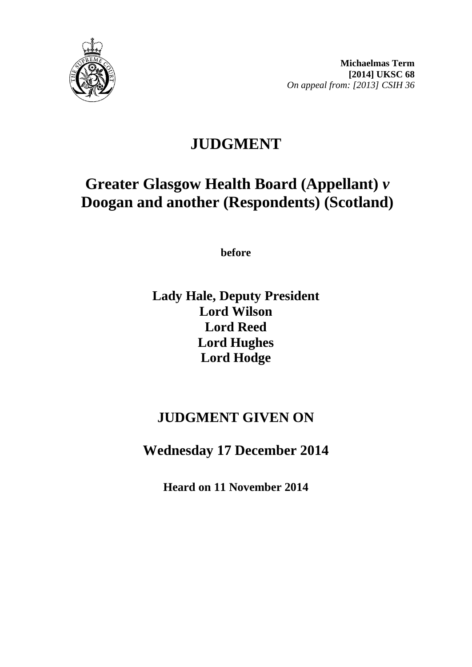

# **JUDGMENT**

# **Greater Glasgow Health Board (Appellant)** *v* **Doogan and another (Respondents) (Scotland)**

**before** 

**Lady Hale, Deputy President Lord Wilson Lord Reed Lord Hughes Lord Hodge**

## **JUDGMENT GIVEN ON**

**Wednesday 17 December 2014**

**Heard on 11 November 2014**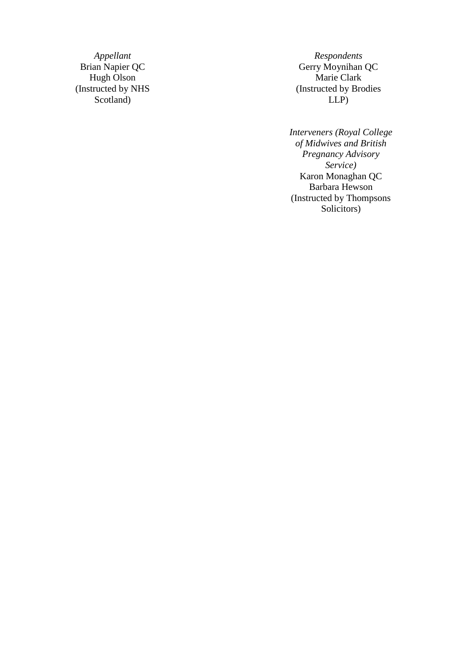*Appellant Respondents*<br>Brian Napier QC *C CC CC CC CC CC CC CC* Hugh Olson (Instructed by NHS Scotland )

Gerry Moynihan QC<br>Marie Clark (Instructed by Brodies LLP )

*Interveners (Royal College of Midwives and British Pregnancy Advisory Service)* Karon Monaghan QC Barbara Hewson (Instructed by Thompsons Solicitors )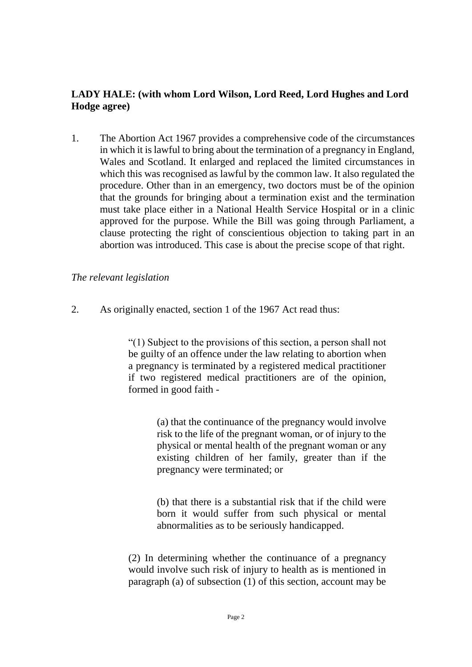### **LADY HALE: (with whom Lord Wilson, Lord Reed, Lord Hughes and Lord Hodge agree)**

1. The Abortion Act 1967 provides a comprehensive code of the circumstances in which it is lawful to bring about the termination of a pregnancy in England, Wales and Scotland. It enlarged and replaced the limited circumstances in which this was recognised as lawful by the common law. It also regulated the procedure. Other than in an emergency, two doctors must be of the opinion that the grounds for bringing about a termination exist and the termination must take place either in a National Health Service Hospital or in a clinic approved for the purpose. While the Bill was going through Parliament, a clause protecting the right of conscientious objection to taking part in an abortion was introduced. This case is about the precise scope of that right.

#### *The relevant legislation*

2. As originally enacted, section 1 of the 1967 Act read thus:

"(1) Subject to the provisions of this section, a person shall not be guilty of an offence under the law relating to abortion when a pregnancy is terminated by a registered medical practitioner if two registered medical practitioners are of the opinion, formed in good faith -

> (a) that the continuance of the pregnancy would involve risk to the life of the pregnant woman, or of injury to the physical or mental health of the pregnant woman or any existing children of her family, greater than if the pregnancy were terminated; or

> (b) that there is a substantial risk that if the child were born it would suffer from such physical or mental abnormalities as to be seriously handicapped.

(2) In determining whether the continuance of a pregnancy would involve such risk of injury to health as is mentioned in paragraph (a) of subsection (1) of this section, account may be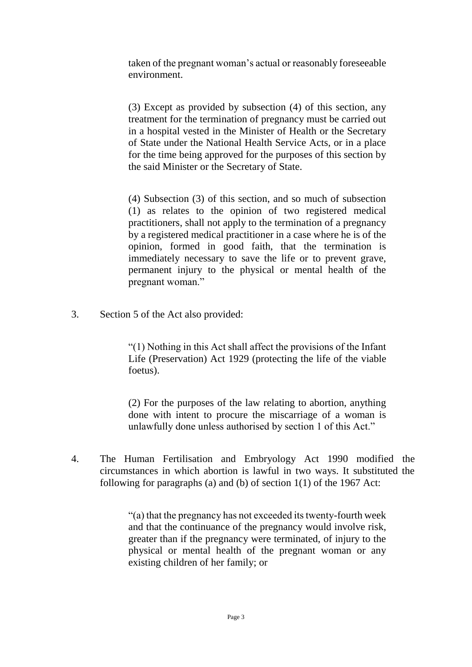taken of the pregnant woman's actual or reasonably foreseeable environment.

(3) Except as provided by subsection (4) of this section, any treatment for the termination of pregnancy must be carried out in a hospital vested in the Minister of Health or the Secretary of State under the National Health Service Acts, or in a place for the time being approved for the purposes of this section by the said Minister or the Secretary of State.

(4) Subsection (3) of this section, and so much of subsection (1) as relates to the opinion of two registered medical practitioners, shall not apply to the termination of a pregnancy by a registered medical practitioner in a case where he is of the opinion, formed in good faith, that the termination is immediately necessary to save the life or to prevent grave, permanent injury to the physical or mental health of the pregnant woman."

3. Section 5 of the Act also provided:

"(1) Nothing in this Act shall affect the provisions of the Infant Life (Preservation) Act 1929 (protecting the life of the viable foetus).

(2) For the purposes of the law relating to abortion, anything done with intent to procure the miscarriage of a woman is unlawfully done unless authorised by section 1 of this Act."

4. The Human Fertilisation and Embryology Act 1990 modified the circumstances in which abortion is lawful in two ways. It substituted the following for paragraphs (a) and (b) of section 1(1) of the 1967 Act:

> "(a) that the pregnancy has not exceeded its twenty-fourth week and that the continuance of the pregnancy would involve risk, greater than if the pregnancy were terminated, of injury to the physical or mental health of the pregnant woman or any existing children of her family; or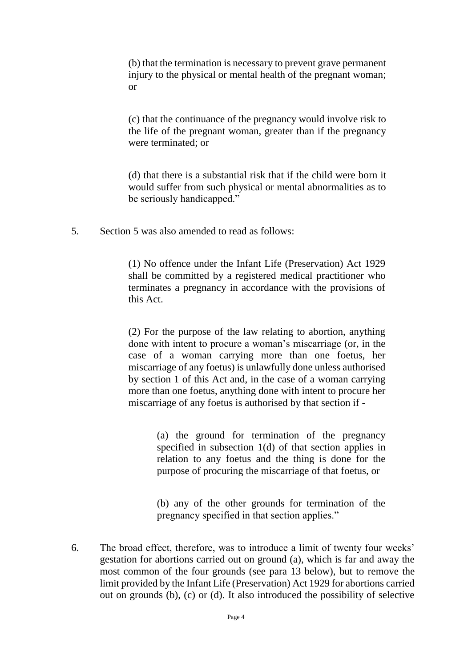(b) that the termination is necessary to prevent grave permanent injury to the physical or mental health of the pregnant woman; or

(c) that the continuance of the pregnancy would involve risk to the life of the pregnant woman, greater than if the pregnancy were terminated; or

(d) that there is a substantial risk that if the child were born it would suffer from such physical or mental abnormalities as to be seriously handicapped."

5. Section 5 was also amended to read as follows:

(1) No offence under the Infant Life (Preservation) Act 1929 shall be committed by a registered medical practitioner who terminates a pregnancy in accordance with the provisions of this Act.

(2) For the purpose of the law relating to abortion, anything done with intent to procure a woman's miscarriage (or, in the case of a woman carrying more than one foetus, her miscarriage of any foetus) is unlawfully done unless authorised by section 1 of this Act and, in the case of a woman carrying more than one foetus, anything done with intent to procure her miscarriage of any foetus is authorised by that section if -

> (a) the ground for termination of the pregnancy specified in subsection 1(d) of that section applies in relation to any foetus and the thing is done for the purpose of procuring the miscarriage of that foetus, or

> (b) any of the other grounds for termination of the pregnancy specified in that section applies."

6. The broad effect, therefore, was to introduce a limit of twenty four weeks' gestation for abortions carried out on ground (a), which is far and away the most common of the four grounds (see para 13 below), but to remove the limit provided by the Infant Life (Preservation) Act 1929 for abortions carried out on grounds (b), (c) or (d). It also introduced the possibility of selective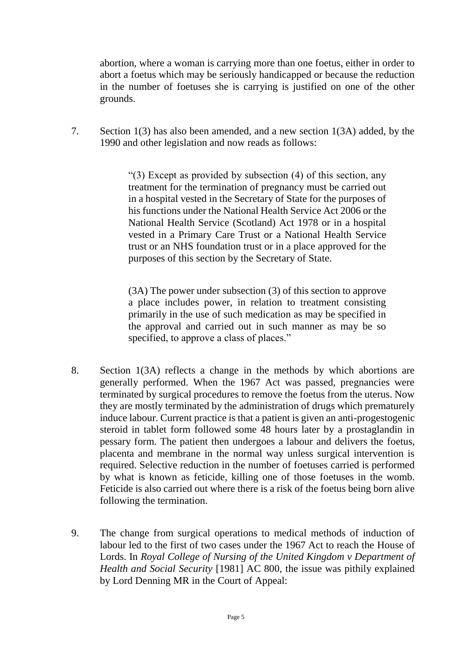abortion, where a woman is carrying more than one foetus, either in order to abort a foetus which may be seriously handicapped or because the reduction in the number of foetuses she is carrying is justified on one of the other grounds.

7. Section 1(3) has also been amended, and a new section 1(3A) added, by the 1990 and other legislation and now reads as follows:

> "(3) Except as provided by subsection (4) of this section, any treatment for the termination of pregnancy must be carried out in a hospital vested in the Secretary of State for the purposes of his functions under the National Health Service Act 2006 or the National Health Service (Scotland) Act 1978 or in a hospital vested in a Primary Care Trust or a National Health Service trust or an NHS foundation trust or in a place approved for the purposes of this section by the Secretary of State.

> (3A) The power under subsection (3) of this section to approve a place includes power, in relation to treatment consisting primarily in the use of such medication as may be specified in the approval and carried out in such manner as may be so specified, to approve a class of places."

- 8. Section 1(3A) reflects a change in the methods by which abortions are generally performed. When the 1967 Act was passed, pregnancies were terminated by surgical procedures to remove the foetus from the uterus. Now they are mostly terminated by the administration of drugs which prematurely induce labour. Current practice is that a patient is given an anti-progestogenic steroid in tablet form followed some 48 hours later by a prostaglandin in pessary form. The patient then undergoes a labour and delivers the foetus, placenta and membrane in the normal way unless surgical intervention is required. Selective reduction in the number of foetuses carried is performed by what is known as feticide, killing one of those foetuses in the womb. Feticide is also carried out where there is a risk of the foetus being born alive following the termination.
- 9. The change from surgical operations to medical methods of induction of labour led to the first of two cases under the 1967 Act to reach the House of Lords. In *Royal College of Nursing of the United Kingdom v Department of Health and Social Security* [1981] AC 800, the issue was pithily explained by Lord Denning MR in the Court of Appeal: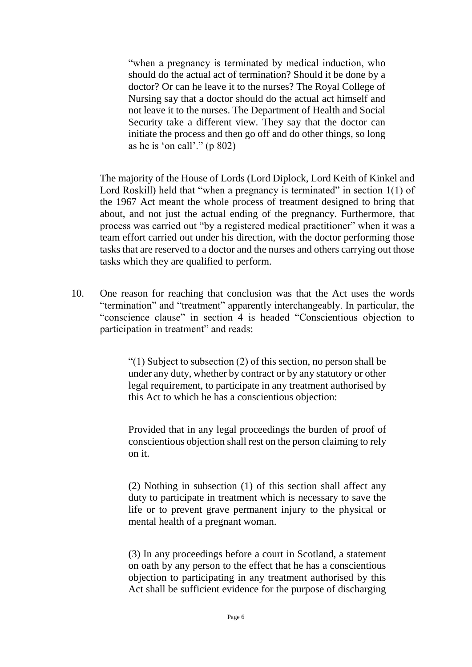"when a pregnancy is terminated by medical induction, who should do the actual act of termination? Should it be done by a doctor? Or can he leave it to the nurses? The Royal College of Nursing say that a doctor should do the actual act himself and not leave it to the nurses. The Department of Health and Social Security take a different view. They say that the doctor can initiate the process and then go off and do other things, so long as he is 'on call'." (p 802)

The majority of the House of Lords (Lord Diplock, Lord Keith of Kinkel and Lord Roskill) held that "when a pregnancy is terminated" in section 1(1) of the 1967 Act meant the whole process of treatment designed to bring that about, and not just the actual ending of the pregnancy. Furthermore, that process was carried out "by a registered medical practitioner" when it was a team effort carried out under his direction, with the doctor performing those tasks that are reserved to a doctor and the nurses and others carrying out those tasks which they are qualified to perform.

10. One reason for reaching that conclusion was that the Act uses the words "termination" and "treatment" apparently interchangeably. In particular, the "conscience clause" in section 4 is headed "Conscientious objection to participation in treatment" and reads:

> "(1) Subject to subsection (2) of this section, no person shall be under any duty, whether by contract or by any statutory or other legal requirement, to participate in any treatment authorised by this Act to which he has a conscientious objection:

> Provided that in any legal proceedings the burden of proof of conscientious objection shall rest on the person claiming to rely on it.

> (2) Nothing in subsection (1) of this section shall affect any duty to participate in treatment which is necessary to save the life or to prevent grave permanent injury to the physical or mental health of a pregnant woman.

> (3) In any proceedings before a court in Scotland, a statement on oath by any person to the effect that he has a conscientious objection to participating in any treatment authorised by this Act shall be sufficient evidence for the purpose of discharging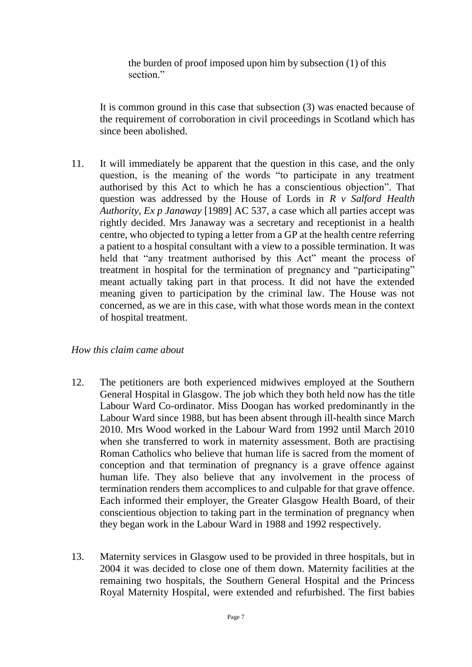the burden of proof imposed upon him by subsection (1) of this section."

It is common ground in this case that subsection (3) was enacted because of the requirement of corroboration in civil proceedings in Scotland which has since been abolished.

11. It will immediately be apparent that the question in this case, and the only question, is the meaning of the words "to participate in any treatment authorised by this Act to which he has a conscientious objection". That question was addressed by the House of Lords in *R v Salford Health Authority, Ex p Janaway* [1989] AC 537, a case which all parties accept was rightly decided. Mrs Janaway was a secretary and receptionist in a health centre, who objected to typing a letter from a GP at the health centre referring a patient to a hospital consultant with a view to a possible termination. It was held that "any treatment authorised by this Act" meant the process of treatment in hospital for the termination of pregnancy and "participating" meant actually taking part in that process. It did not have the extended meaning given to participation by the criminal law. The House was not concerned, as we are in this case, with what those words mean in the context of hospital treatment.

#### *How this claim came about*

- 12. The petitioners are both experienced midwives employed at the Southern General Hospital in Glasgow. The job which they both held now has the title Labour Ward Co-ordinator. Miss Doogan has worked predominantly in the Labour Ward since 1988, but has been absent through ill-health since March 2010. Mrs Wood worked in the Labour Ward from 1992 until March 2010 when she transferred to work in maternity assessment. Both are practising Roman Catholics who believe that human life is sacred from the moment of conception and that termination of pregnancy is a grave offence against human life. They also believe that any involvement in the process of termination renders them accomplices to and culpable for that grave offence. Each informed their employer, the Greater Glasgow Health Board, of their conscientious objection to taking part in the termination of pregnancy when they began work in the Labour Ward in 1988 and 1992 respectively.
- 13. Maternity services in Glasgow used to be provided in three hospitals, but in 2004 it was decided to close one of them down. Maternity facilities at the remaining two hospitals, the Southern General Hospital and the Princess Royal Maternity Hospital, were extended and refurbished. The first babies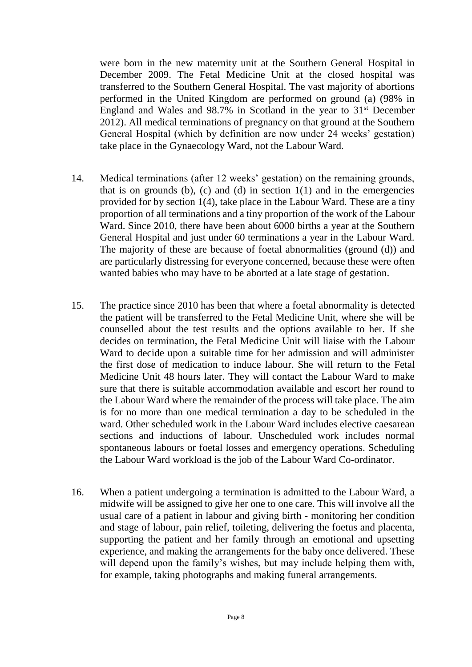were born in the new maternity unit at the Southern General Hospital in December 2009. The Fetal Medicine Unit at the closed hospital was transferred to the Southern General Hospital. The vast majority of abortions performed in the United Kingdom are performed on ground (a) (98% in England and Wales and  $98.7\%$  in Scotland in the year to  $31<sup>st</sup>$  December 2012). All medical terminations of pregnancy on that ground at the Southern General Hospital (which by definition are now under 24 weeks' gestation) take place in the Gynaecology Ward, not the Labour Ward.

- 14. Medical terminations (after 12 weeks' gestation) on the remaining grounds, that is on grounds (b), (c) and (d) in section  $1(1)$  and in the emergencies provided for by section 1(4), take place in the Labour Ward. These are a tiny proportion of all terminations and a tiny proportion of the work of the Labour Ward. Since 2010, there have been about 6000 births a year at the Southern General Hospital and just under 60 terminations a year in the Labour Ward. The majority of these are because of foetal abnormalities (ground (d)) and are particularly distressing for everyone concerned, because these were often wanted babies who may have to be aborted at a late stage of gestation.
- 15. The practice since 2010 has been that where a foetal abnormality is detected the patient will be transferred to the Fetal Medicine Unit, where she will be counselled about the test results and the options available to her. If she decides on termination, the Fetal Medicine Unit will liaise with the Labour Ward to decide upon a suitable time for her admission and will administer the first dose of medication to induce labour. She will return to the Fetal Medicine Unit 48 hours later. They will contact the Labour Ward to make sure that there is suitable accommodation available and escort her round to the Labour Ward where the remainder of the process will take place. The aim is for no more than one medical termination a day to be scheduled in the ward. Other scheduled work in the Labour Ward includes elective caesarean sections and inductions of labour. Unscheduled work includes normal spontaneous labours or foetal losses and emergency operations. Scheduling the Labour Ward workload is the job of the Labour Ward Co-ordinator.
- 16. When a patient undergoing a termination is admitted to the Labour Ward, a midwife will be assigned to give her one to one care. This will involve all the usual care of a patient in labour and giving birth - monitoring her condition and stage of labour, pain relief, toileting, delivering the foetus and placenta, supporting the patient and her family through an emotional and upsetting experience, and making the arrangements for the baby once delivered. These will depend upon the family's wishes, but may include helping them with, for example, taking photographs and making funeral arrangements.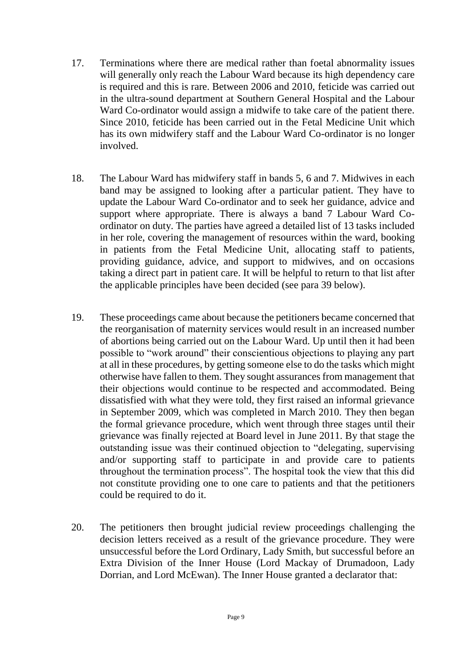- 17. Terminations where there are medical rather than foetal abnormality issues will generally only reach the Labour Ward because its high dependency care is required and this is rare. Between 2006 and 2010, feticide was carried out in the ultra-sound department at Southern General Hospital and the Labour Ward Co-ordinator would assign a midwife to take care of the patient there. Since 2010, feticide has been carried out in the Fetal Medicine Unit which has its own midwifery staff and the Labour Ward Co-ordinator is no longer involved.
- 18. The Labour Ward has midwifery staff in bands 5, 6 and 7. Midwives in each band may be assigned to looking after a particular patient. They have to update the Labour Ward Co-ordinator and to seek her guidance, advice and support where appropriate. There is always a band 7 Labour Ward Coordinator on duty. The parties have agreed a detailed list of 13 tasks included in her role, covering the management of resources within the ward, booking in patients from the Fetal Medicine Unit, allocating staff to patients, providing guidance, advice, and support to midwives, and on occasions taking a direct part in patient care. It will be helpful to return to that list after the applicable principles have been decided (see para 39 below).
- 19. These proceedings came about because the petitioners became concerned that the reorganisation of maternity services would result in an increased number of abortions being carried out on the Labour Ward. Up until then it had been possible to "work around" their conscientious objections to playing any part at all in these procedures, by getting someone else to do the tasks which might otherwise have fallen to them. They sought assurances from management that their objections would continue to be respected and accommodated. Being dissatisfied with what they were told, they first raised an informal grievance in September 2009, which was completed in March 2010. They then began the formal grievance procedure, which went through three stages until their grievance was finally rejected at Board level in June 2011. By that stage the outstanding issue was their continued objection to "delegating, supervising and/or supporting staff to participate in and provide care to patients throughout the termination process". The hospital took the view that this did not constitute providing one to one care to patients and that the petitioners could be required to do it.
- 20. The petitioners then brought judicial review proceedings challenging the decision letters received as a result of the grievance procedure. They were unsuccessful before the Lord Ordinary, Lady Smith, but successful before an Extra Division of the Inner House (Lord Mackay of Drumadoon, Lady Dorrian, and Lord McEwan). The Inner House granted a declarator that: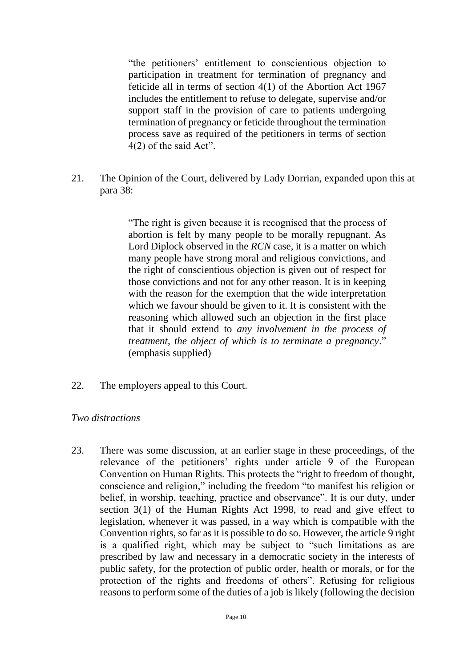"the petitioners' entitlement to conscientious objection to participation in treatment for termination of pregnancy and feticide all in terms of section 4(1) of the Abortion Act 1967 includes the entitlement to refuse to delegate, supervise and/or support staff in the provision of care to patients undergoing termination of pregnancy or feticide throughout the termination process save as required of the petitioners in terms of section 4(2) of the said Act".

21. The Opinion of the Court, delivered by Lady Dorrian, expanded upon this at para 38:

> "The right is given because it is recognised that the process of abortion is felt by many people to be morally repugnant. As Lord Diplock observed in the *RCN* case, it is a matter on which many people have strong moral and religious convictions, and the right of conscientious objection is given out of respect for those convictions and not for any other reason. It is in keeping with the reason for the exemption that the wide interpretation which we favour should be given to it. It is consistent with the reasoning which allowed such an objection in the first place that it should extend to *any involvement in the process of treatment, the object of which is to terminate a pregnancy*." (emphasis supplied)

22. The employers appeal to this Court.

#### *Two distractions*

23. There was some discussion, at an earlier stage in these proceedings, of the relevance of the petitioners' rights under article 9 of the European Convention on Human Rights. This protects the "right to freedom of thought, conscience and religion," including the freedom "to manifest his religion or belief, in worship, teaching, practice and observance". It is our duty, under section 3(1) of the Human Rights Act 1998, to read and give effect to legislation, whenever it was passed, in a way which is compatible with the Convention rights, so far as it is possible to do so. However, the article 9 right is a qualified right, which may be subject to "such limitations as are prescribed by law and necessary in a democratic society in the interests of public safety, for the protection of public order, health or morals, or for the protection of the rights and freedoms of others". Refusing for religious reasons to perform some of the duties of a job is likely (following the decision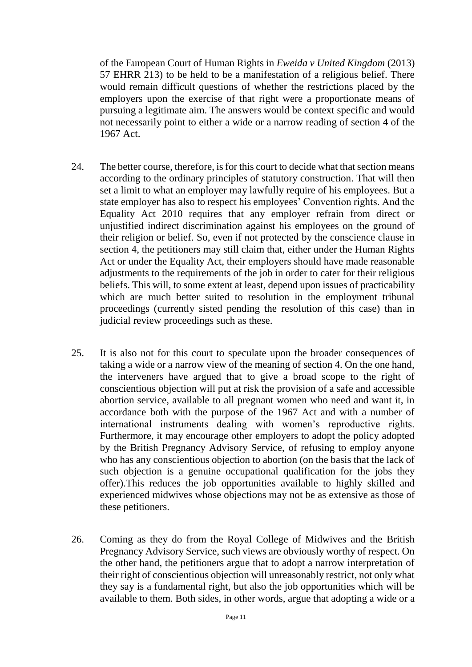of the European Court of Human Rights in *Eweida v United Kingdom* (2013) 57 EHRR 213) to be held to be a manifestation of a religious belief. There would remain difficult questions of whether the restrictions placed by the employers upon the exercise of that right were a proportionate means of pursuing a legitimate aim. The answers would be context specific and would not necessarily point to either a wide or a narrow reading of section 4 of the 1967 Act.

- 24. The better course, therefore, is for this court to decide what that section means according to the ordinary principles of statutory construction. That will then set a limit to what an employer may lawfully require of his employees. But a state employer has also to respect his employees' Convention rights. And the Equality Act 2010 requires that any employer refrain from direct or unjustified indirect discrimination against his employees on the ground of their religion or belief. So, even if not protected by the conscience clause in section 4, the petitioners may still claim that, either under the Human Rights Act or under the Equality Act, their employers should have made reasonable adjustments to the requirements of the job in order to cater for their religious beliefs. This will, to some extent at least, depend upon issues of practicability which are much better suited to resolution in the employment tribunal proceedings (currently sisted pending the resolution of this case) than in judicial review proceedings such as these.
- 25. It is also not for this court to speculate upon the broader consequences of taking a wide or a narrow view of the meaning of section 4. On the one hand, the interveners have argued that to give a broad scope to the right of conscientious objection will put at risk the provision of a safe and accessible abortion service, available to all pregnant women who need and want it, in accordance both with the purpose of the 1967 Act and with a number of international instruments dealing with women's reproductive rights. Furthermore, it may encourage other employers to adopt the policy adopted by the British Pregnancy Advisory Service, of refusing to employ anyone who has any conscientious objection to abortion (on the basis that the lack of such objection is a genuine occupational qualification for the jobs they offer).This reduces the job opportunities available to highly skilled and experienced midwives whose objections may not be as extensive as those of these petitioners.
- 26. Coming as they do from the Royal College of Midwives and the British Pregnancy Advisory Service, such views are obviously worthy of respect. On the other hand, the petitioners argue that to adopt a narrow interpretation of their right of conscientious objection will unreasonably restrict, not only what they say is a fundamental right, but also the job opportunities which will be available to them. Both sides, in other words, argue that adopting a wide or a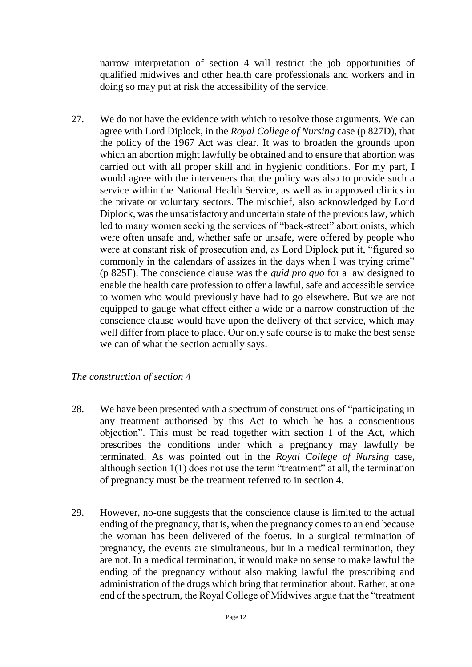narrow interpretation of section 4 will restrict the job opportunities of qualified midwives and other health care professionals and workers and in doing so may put at risk the accessibility of the service.

27. We do not have the evidence with which to resolve those arguments. We can agree with Lord Diplock, in the *Royal College of Nursing* case (p 827D), that the policy of the 1967 Act was clear. It was to broaden the grounds upon which an abortion might lawfully be obtained and to ensure that abortion was carried out with all proper skill and in hygienic conditions. For my part, I would agree with the interveners that the policy was also to provide such a service within the National Health Service, as well as in approved clinics in the private or voluntary sectors. The mischief, also acknowledged by Lord Diplock, was the unsatisfactory and uncertain state of the previous law, which led to many women seeking the services of "back-street" abortionists, which were often unsafe and, whether safe or unsafe, were offered by people who were at constant risk of prosecution and, as Lord Diplock put it, "figured so commonly in the calendars of assizes in the days when I was trying crime" (p 825F). The conscience clause was the *quid pro quo* for a law designed to enable the health care profession to offer a lawful, safe and accessible service to women who would previously have had to go elsewhere. But we are not equipped to gauge what effect either a wide or a narrow construction of the conscience clause would have upon the delivery of that service, which may well differ from place to place. Our only safe course is to make the best sense we can of what the section actually says.

### *The construction of section 4*

- 28. We have been presented with a spectrum of constructions of "participating in any treatment authorised by this Act to which he has a conscientious objection". This must be read together with section 1 of the Act, which prescribes the conditions under which a pregnancy may lawfully be terminated. As was pointed out in the *Royal College of Nursing* case, although section 1(1) does not use the term "treatment" at all, the termination of pregnancy must be the treatment referred to in section 4.
- 29. However, no-one suggests that the conscience clause is limited to the actual ending of the pregnancy, that is, when the pregnancy comes to an end because the woman has been delivered of the foetus. In a surgical termination of pregnancy, the events are simultaneous, but in a medical termination, they are not. In a medical termination, it would make no sense to make lawful the ending of the pregnancy without also making lawful the prescribing and administration of the drugs which bring that termination about. Rather, at one end of the spectrum, the Royal College of Midwives argue that the "treatment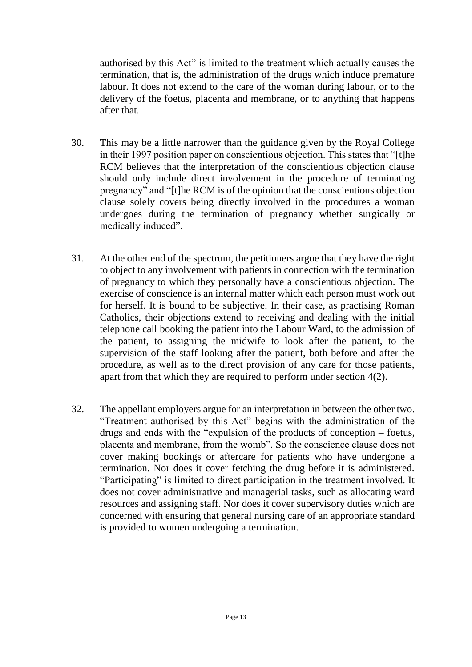authorised by this Act" is limited to the treatment which actually causes the termination, that is, the administration of the drugs which induce premature labour. It does not extend to the care of the woman during labour, or to the delivery of the foetus, placenta and membrane, or to anything that happens after that.

- 30. This may be a little narrower than the guidance given by the Royal College in their 1997 position paper on conscientious objection. This states that "[t]he RCM believes that the interpretation of the conscientious objection clause should only include direct involvement in the procedure of terminating pregnancy" and "[t]he RCM is of the opinion that the conscientious objection clause solely covers being directly involved in the procedures a woman undergoes during the termination of pregnancy whether surgically or medically induced".
- 31. At the other end of the spectrum, the petitioners argue that they have the right to object to any involvement with patients in connection with the termination of pregnancy to which they personally have a conscientious objection. The exercise of conscience is an internal matter which each person must work out for herself. It is bound to be subjective. In their case, as practising Roman Catholics, their objections extend to receiving and dealing with the initial telephone call booking the patient into the Labour Ward, to the admission of the patient, to assigning the midwife to look after the patient, to the supervision of the staff looking after the patient, both before and after the procedure, as well as to the direct provision of any care for those patients, apart from that which they are required to perform under section 4(2).
- 32. The appellant employers argue for an interpretation in between the other two. "Treatment authorised by this Act" begins with the administration of the drugs and ends with the "expulsion of the products of conception – foetus, placenta and membrane, from the womb". So the conscience clause does not cover making bookings or aftercare for patients who have undergone a termination. Nor does it cover fetching the drug before it is administered. "Participating" is limited to direct participation in the treatment involved. It does not cover administrative and managerial tasks, such as allocating ward resources and assigning staff. Nor does it cover supervisory duties which are concerned with ensuring that general nursing care of an appropriate standard is provided to women undergoing a termination.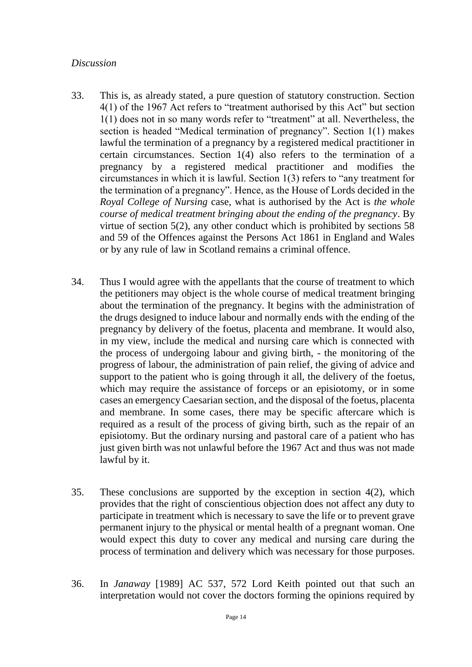#### *Discussion*

- 33. This is, as already stated, a pure question of statutory construction. Section 4(1) of the 1967 Act refers to "treatment authorised by this Act" but section 1(1) does not in so many words refer to "treatment" at all. Nevertheless, the section is headed "Medical termination of pregnancy". Section 1(1) makes lawful the termination of a pregnancy by a registered medical practitioner in certain circumstances. Section 1(4) also refers to the termination of a pregnancy by a registered medical practitioner and modifies the circumstances in which it is lawful. Section 1(3) refers to "any treatment for the termination of a pregnancy". Hence, as the House of Lords decided in the *Royal College of Nursing* case, what is authorised by the Act is *the whole course of medical treatment bringing about the ending of the pregnancy*. By virtue of section 5(2), any other conduct which is prohibited by sections 58 and 59 of the Offences against the Persons Act 1861 in England and Wales or by any rule of law in Scotland remains a criminal offence.
- 34. Thus I would agree with the appellants that the course of treatment to which the petitioners may object is the whole course of medical treatment bringing about the termination of the pregnancy. It begins with the administration of the drugs designed to induce labour and normally ends with the ending of the pregnancy by delivery of the foetus, placenta and membrane. It would also, in my view, include the medical and nursing care which is connected with the process of undergoing labour and giving birth, - the monitoring of the progress of labour, the administration of pain relief, the giving of advice and support to the patient who is going through it all, the delivery of the foetus, which may require the assistance of forceps or an episiotomy, or in some cases an emergency Caesarian section, and the disposal of the foetus, placenta and membrane. In some cases, there may be specific aftercare which is required as a result of the process of giving birth, such as the repair of an episiotomy. But the ordinary nursing and pastoral care of a patient who has just given birth was not unlawful before the 1967 Act and thus was not made lawful by it.
- 35. These conclusions are supported by the exception in section 4(2), which provides that the right of conscientious objection does not affect any duty to participate in treatment which is necessary to save the life or to prevent grave permanent injury to the physical or mental health of a pregnant woman. One would expect this duty to cover any medical and nursing care during the process of termination and delivery which was necessary for those purposes.
- 36. In *Janaway* [1989] AC 537, 572 Lord Keith pointed out that such an interpretation would not cover the doctors forming the opinions required by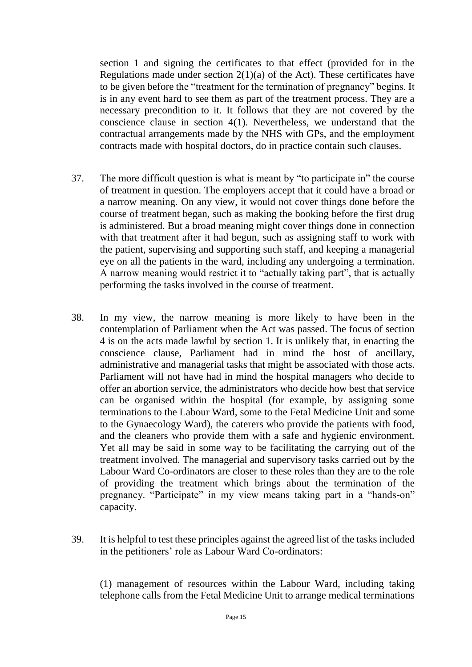section 1 and signing the certificates to that effect (provided for in the Regulations made under section  $2(1)(a)$  of the Act). These certificates have to be given before the "treatment for the termination of pregnancy" begins. It is in any event hard to see them as part of the treatment process. They are a necessary precondition to it. It follows that they are not covered by the conscience clause in section 4(1). Nevertheless, we understand that the contractual arrangements made by the NHS with GPs, and the employment contracts made with hospital doctors, do in practice contain such clauses.

- 37. The more difficult question is what is meant by "to participate in" the course of treatment in question. The employers accept that it could have a broad or a narrow meaning. On any view, it would not cover things done before the course of treatment began, such as making the booking before the first drug is administered. But a broad meaning might cover things done in connection with that treatment after it had begun, such as assigning staff to work with the patient, supervising and supporting such staff, and keeping a managerial eye on all the patients in the ward, including any undergoing a termination. A narrow meaning would restrict it to "actually taking part", that is actually performing the tasks involved in the course of treatment.
- 38. In my view, the narrow meaning is more likely to have been in the contemplation of Parliament when the Act was passed. The focus of section 4 is on the acts made lawful by section 1. It is unlikely that, in enacting the conscience clause, Parliament had in mind the host of ancillary, administrative and managerial tasks that might be associated with those acts. Parliament will not have had in mind the hospital managers who decide to offer an abortion service, the administrators who decide how best that service can be organised within the hospital (for example, by assigning some terminations to the Labour Ward, some to the Fetal Medicine Unit and some to the Gynaecology Ward), the caterers who provide the patients with food, and the cleaners who provide them with a safe and hygienic environment. Yet all may be said in some way to be facilitating the carrying out of the treatment involved. The managerial and supervisory tasks carried out by the Labour Ward Co-ordinators are closer to these roles than they are to the role of providing the treatment which brings about the termination of the pregnancy. "Participate" in my view means taking part in a "hands-on" capacity.
- 39. It is helpful to test these principles against the agreed list of the tasks included in the petitioners' role as Labour Ward Co-ordinators:

(1) management of resources within the Labour Ward, including taking telephone calls from the Fetal Medicine Unit to arrange medical terminations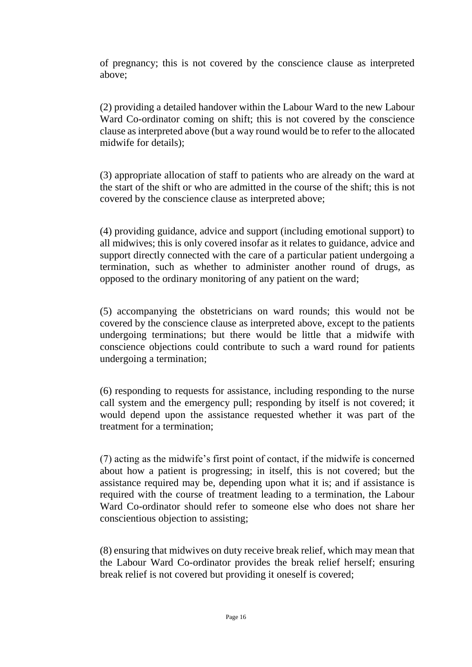of pregnancy; this is not covered by the conscience clause as interpreted above;

(2) providing a detailed handover within the Labour Ward to the new Labour Ward Co-ordinator coming on shift; this is not covered by the conscience clause as interpreted above (but a way round would be to refer to the allocated midwife for details);

(3) appropriate allocation of staff to patients who are already on the ward at the start of the shift or who are admitted in the course of the shift; this is not covered by the conscience clause as interpreted above;

(4) providing guidance, advice and support (including emotional support) to all midwives; this is only covered insofar as it relates to guidance, advice and support directly connected with the care of a particular patient undergoing a termination, such as whether to administer another round of drugs, as opposed to the ordinary monitoring of any patient on the ward;

(5) accompanying the obstetricians on ward rounds; this would not be covered by the conscience clause as interpreted above, except to the patients undergoing terminations; but there would be little that a midwife with conscience objections could contribute to such a ward round for patients undergoing a termination;

(6) responding to requests for assistance, including responding to the nurse call system and the emergency pull; responding by itself is not covered; it would depend upon the assistance requested whether it was part of the treatment for a termination;

(7) acting as the midwife's first point of contact, if the midwife is concerned about how a patient is progressing; in itself, this is not covered; but the assistance required may be, depending upon what it is; and if assistance is required with the course of treatment leading to a termination, the Labour Ward Co-ordinator should refer to someone else who does not share her conscientious objection to assisting;

(8) ensuring that midwives on duty receive break relief, which may mean that the Labour Ward Co-ordinator provides the break relief herself; ensuring break relief is not covered but providing it oneself is covered;